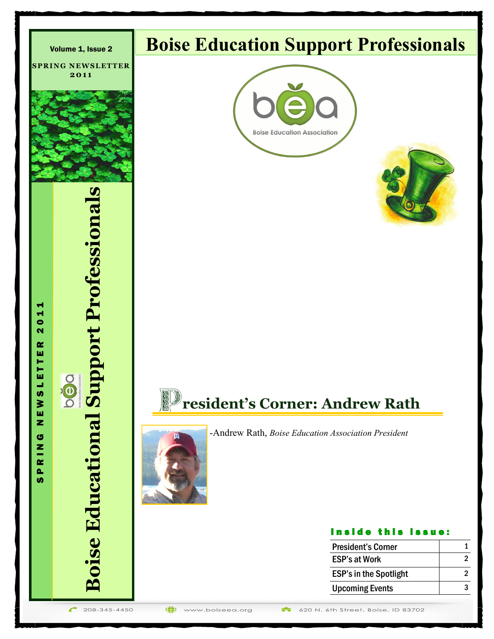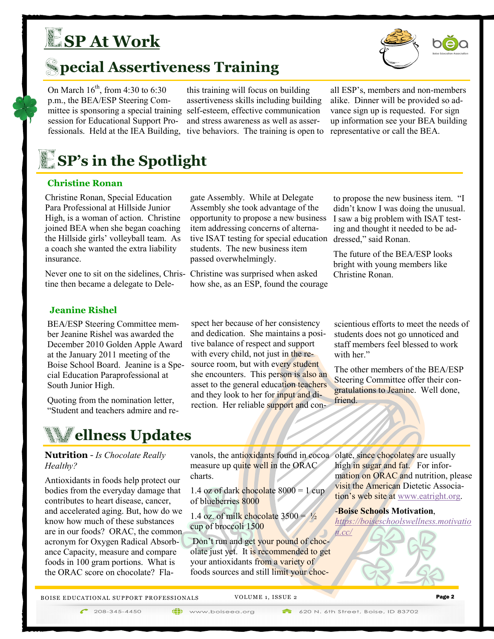# **SP At Work**



On March  $16^{th}$ , from 4:30 to 6:30 p.m., the BEA/ESP Steering Comsession for Educational Support Professionals. Held at the IEA Building, tive behaviors. The training is open to

mittee is sponsoring a special training self-esteem, effective communication this training will focus on building assertiveness skills including building and stress awareness as well as asser-

all ESP's, members and non-members alike. Dinner will be provided so advance sign up is requested. For sign up information see your BEA building representative or call the BEA.

# *SP's* in the Spotlight

#### **Christine Ronan**

Christine Ronan, Special Education Para Professional at Hillside Junior High, is a woman of action. Christine joined BEA when she began coaching the Hillside girls' volleyball team. As a coach she wanted the extra liability insurance.

Never one to sit on the sidelines, Christine then became a delegate to Dele-

gate Assembly. While at Delegate Assembly she took advantage of the opportunity to propose a new business item addressing concerns of alternative ISAT testing for special education students. The new business item passed overwhelmingly.

Christine was surprised when asked how she, as an ESP, found the courage

to propose the new business item. "I didn't know I was doing the unusual. I saw a big problem with ISAT testing and thought it needed to be addressed," said Ronan.

The future of the BEA/ESP looks bright with young members like Christine Ronan.

### **Jeanine Rishel**

BEA/ESP Steering Committee member Jeanine Rishel was awarded the December 2010 Golden Apple Award at the January 2011 meeting of the Boise School Board. Jeanine is a Special Education Paraprofessional at South Junior High.

Quoting from the nomination letter, "Student and teachers admire and re-

### *Mellness Updates*

**Nutrition** - *Is Chocolate Really Healthy?*

Antioxidants in foods help protect our bodies from the everyday damage that contributes to heart disease, cancer, and accelerated aging. But, how do we know how much of these substances are in our foods? ORAC, the common acronym for Oxygen Radical Absorbance Capacity, measure and compare foods in 100 gram portions. What is the ORAC score on chocolate? Flaspect her because of her consistency and dedication. She maintains a positive balance of respect and support with every child, not just in the resource room, but with every student she encounters. This person is also an asset to the general education teachers and they look to her for input and direction. Her reliable support and con-

scientious efforts to meet the needs of students does not go unnoticed and staff members feel blessed to work with her."

The other members of the BEA/ESP Steering Committee offer their congratulations to Jeanine. Well done, friend.

vanols, the antioxidants found in cocoa olate, since chocolates are usually measure up quite well in the ORAC charts.

1.4 oz of dark chocolate  $8000 = 1$  cup of blueberries 8000

1.4 oz. of milk chocolate  $3500 = \frac{1}{2}$ cup of broccoli 1500

Don't run and get your pound of chocolate just yet. It is recommended to get your antioxidants from a variety of foods sources and still limit your choc-

high in sugar and fat. For information on ORAC and nutrition, please visit the American Dietetic Association's web site at [www.eatright.org.](http://www.eatright.org/)

-**Boise Schools Motivation**,

*[https://boiseschoolswellness.motivatio](https://boiseschoolswellness.motivation.cc/)*

BOISE EDUCATIONAL SUPPORT PROFESSIONALS VOLUME 1, ISSUE 2 Page 2

 $\bigcap$  208-345-4450

(iii) www.boiseea.org

620 N. 6th Street, Boise, ID 83702

*[n.cc/](https://boiseschoolswellness.motivation.cc/)*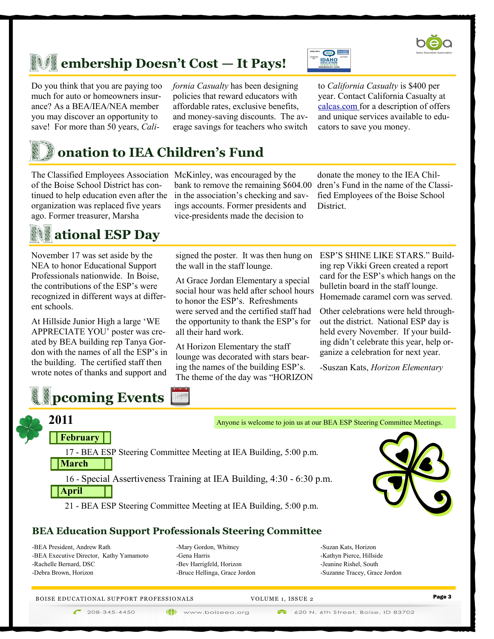

Do you think that you are paying too much for auto or homeowners insurance? As a BEA/IEA/NEA member you may discover an opportunity to save! For more than 50 years, *Cali-* *fornia Casualty* has been designing policies that reward educators with affordable rates, exclusive benefits, and money-saving discounts. The average savings for teachers who switch



to *California Casualty* is \$400 per year. Contact California Casualty at calcas.com for a description of offers and unique services available to educators to save you money.

# **onation to IEA Children's Fund**

The Classified Employees Association McKinley, was encouraged by the of the Boise School District has continued to help education even after the organization was replaced five years ago. Former treasurer, Marsha

### **ational ESP Day**

November 17 was set aside by the NEA to honor Educational Support Professionals nationwide. In Boise, the contributions of the ESP's were recognized in different ways at different schools.

At Hillside Junior High a large 'WE APPRECIATE YOU' poster was created by BEA building rep Tanya Gordon with the names of all the ESP's in the building. The certified staff then wrote notes of thanks and support and

bank to remove the remaining \$604.00 in the association's checking and savings accounts. Former presidents and vice-presidents made the decision to

donate the money to the IEA Children's Fund in the name of the Classified Employees of the Boise School **District** 

signed the poster. It was then hung on the wall in the staff lounge.

At Grace Jordan Elementary a special social hour was held after school hours to honor the ESP's. Refreshments were served and the certified staff had the opportunity to thank the ESP's for all their hard work.

At Horizon Elementary the staff lounge was decorated with stars bearing the names of the building ESP's. The theme of the day was "HORIZON ESP'S SHINE LIKE STARS." Building rep Vikki Green created a report card for the ESP's which hangs on the bulletin board in the staff lounge. Homemade caramel corn was served.

Other celebrations were held throughout the district. National ESP day is held every November. If your building didn't celebrate this year, help organize a celebration for next year.

-Suszan Kats, *Horizon Elementary*



-BEA President, Andrew Rath -BEA Executive Director, Kathy Yamamoto -Rachelle Bernard, DSC -Debra Brown, Horizon

-Mary Gordon, Whitney -Gena Harris -Bev Harrigfeld, Horizon -Bruce Hellinga, Grace Jordon

-Suzan Kats, Horizon -Kathyn Pierce, Hillside -Jeanine Rishel, South -Suzanne Tracey, Grace Jordon

V OLU ME 1, ISS UE 2 Page 3 B OISE E DU CA TI ONAL SUPPORT PR OFESS IONA LS



(iii) www.boiseea.org

620 N. 6th Street, Boise, ID 83702